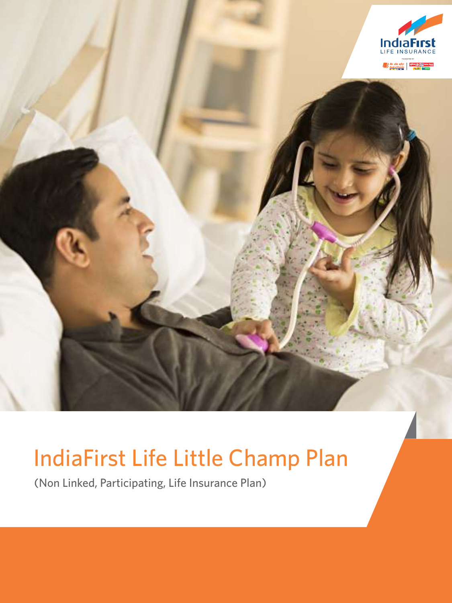

# IndiaFirst Life Little Champ Plan

(Non Linked, Participating, Life Insurance Plan)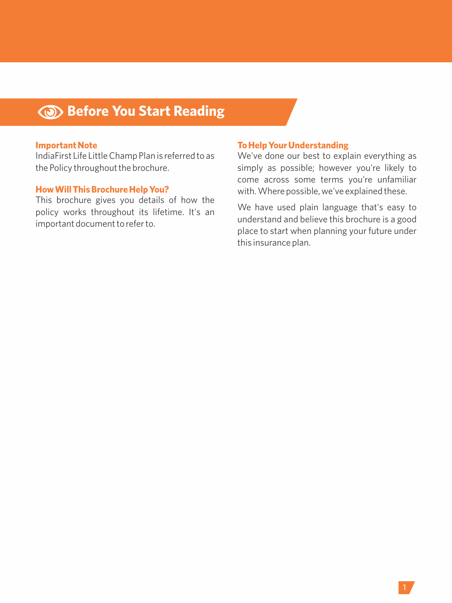## **Before You Start Reading**

#### **Important Note**

IndiaFirst Life Little Champ Plan is referred to as the Policy throughout the brochure.

#### **How Will This Brochure Help You?**

This brochure gives you details of how the policy works throughout its lifetime. It's an important document to refer to.

#### **To Help Your Understanding**

We've done our best to explain everything as simply as possible; however you're likely to come across some terms you're unfamiliar with. Where possible, we've explained these.

We have used plain language that's easy to understand and believe this brochure is a good place to start when planning your future under this insurance plan.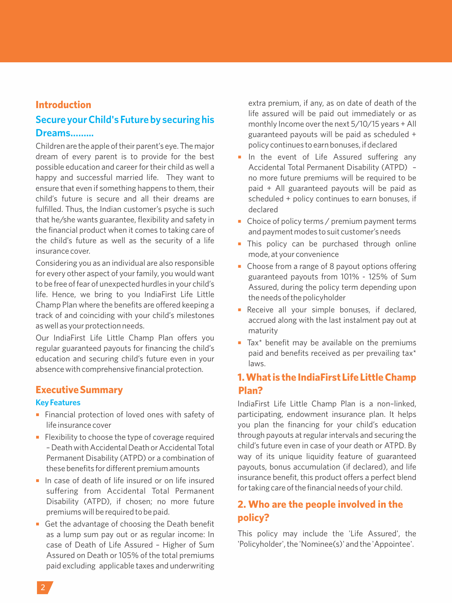#### **Introduction**

## **Secure your Child's Future by securing his Dreams……...**

Children are the apple of their parent's eye. The major dream of every parent is to provide for the best possible education and career for their child as well a happy and successful married life. They want to ensure that even if something happens to them, their child's future is secure and all their dreams are fulfilled. Thus, the Indian customer's psyche is such that he/she wants guarantee, flexibility and safety in the financial product when it comes to taking care of the child's future as well as the security of a life insurance cover.

Considering you as an individual are also responsible for every other aspect of your family, you would want to be free of fear of unexpected hurdles in your child's life. Hence, we bring to you IndiaFirst Life Little Champ Plan where the benefits are offered keeping a track of and coinciding with your child's milestones as well as your protection needs.

Our IndiaFirst Life Little Champ Plan offers you regular guaranteed payouts for financing the child's education and securing child's future even in your absence with comprehensive financial protection.

## **Executive Summary**

#### **Key Features**

- **Financial protection of loved ones with safety of** life insurance cover
- **Flexibility to choose the type of coverage required** – Death with Accidental Death or Accidental Total Permanent Disability (ATPD) or a combination of these benefits for different premium amounts
- ¡ In case of death of life insured or on life insured suffering from Accidental Total Permanent Disability (ATPD), if chosen; no more future premiums will be required to be paid.
- Get the advantage of choosing the Death benefit as a lump sum pay out or as regular income: In case of Death of Life Assured – Higher of Sum Assured on Death or 105% of the total premiums paid excluding applicable taxes and underwriting

extra premium, if any, as on date of death of the life assured will be paid out immediately or as monthly Income over the next 5/10/15 years + All guaranteed payouts will be paid as scheduled + policy continues to earn bonuses, if declared

- **In the event of Life Assured suffering any** Accidental Total Permanent Disability (ATPD) – no more future premiums will be required to be paid + All guaranteed payouts will be paid as scheduled + policy continues to earn bonuses, if declared
- Choice of policy terms / premium payment terms and payment modes to suit customer's needs
- This policy can be purchased through online mode, at your convenience
- Choose from a range of 8 payout options offering guaranteed payouts from 101% - 125% of Sum Assured, during the policy term depending upon the needs of the policyholder
- **•** Receive all your simple bonuses, if declared, accrued along with the last instalment pay out at maturity
- ¡ Tax\* benefit may be available on the premiums paid and benefits received as per prevailing tax\* laws.

## **1. What is the IndiaFirst Life Little Champ Plan?**

IndiaFirst Life Little Champ Plan is a non–linked, participating, endowment insurance plan. It helps you plan the financing for your child's education through payouts at regular intervals and securing the child's future even in case of your death or ATPD. By way of its unique liquidity feature of guaranteed payouts, bonus accumulation (if declared), and life insurance benefit, this product offers a perfect blend for taking care of the financial needs of your child.

## **2. Who are the people involved in the policy?**

This policy may include the 'Life Assured', the 'Policyholder', the 'Nominee(s)' and the 'Appointee'.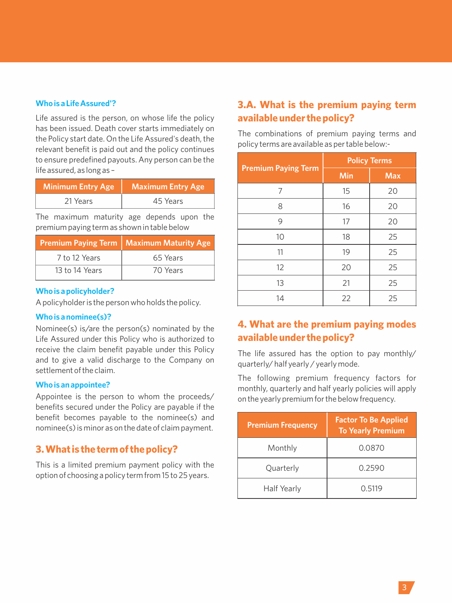#### **Who is a Life Assured'?**

Life assured is the person, on whose life the policy has been issued. Death cover starts immediately on the Policy start date. On the Life Assured's death, the relevant benefit is paid out and the policy continues to ensure predefined payouts. Any person can be the life assured, as long as –

| <b>Minimum Entry Age</b> | Maximum Entry Age |
|--------------------------|-------------------|
| 21 Years                 | 45 Years          |

The maximum maturity age depends upon the premium paying term as shown in table below

|                | <b>Premium Paying Term   Maximum Maturity Age</b> |
|----------------|---------------------------------------------------|
| 7 to 12 Years  | 65 Years                                          |
| 13 to 14 Years | 70 Years                                          |

#### **Who is a policyholder?**

A policyholder is the person who holds the policy.

#### **Who is a nominee(s)?**

Nominee(s) is/are the person(s) nominated by the Life Assured under this Policy who is authorized to receive the claim benefit payable under this Policy and to give a valid discharge to the Company on settlement of the claim.

#### **Who is an appointee?**

Appointee is the person to whom the proceeds/ benefits secured under the Policy are payable if the benefit becomes payable to the nominee(s) and nominee(s) is minor as on the date of claim payment.

## **3. What is the term of the policy?**

This is a limited premium payment policy with the option of choosing a policy term from 15 to 25 years.

## **3.A. What is the premium paying term available under the policy?**

The combinations of premium paying terms and policy terms are available as per table below:-

|                            | <b>Policy Terms</b> |                |  |  |  |  |
|----------------------------|---------------------|----------------|--|--|--|--|
| <b>Premium Paying Term</b> | Min                 | <b>Max</b>     |  |  |  |  |
| 7                          | 15                  | 20             |  |  |  |  |
| 8                          | 16                  | 20<br>20<br>25 |  |  |  |  |
| 9                          | 17                  |                |  |  |  |  |
| 10                         | 18                  |                |  |  |  |  |
| 11                         | 19                  | 25             |  |  |  |  |
| 12                         | 20                  | 25             |  |  |  |  |
| 13                         | 21                  | 25             |  |  |  |  |
| 14                         | 22                  | 25             |  |  |  |  |

## **4. What are the premium paying modes available under the policy?**

The life assured has the option to pay monthly/ quarterly/ half yearly / yearly mode.

The following premium frequency factors for monthly, quarterly and half yearly policies will apply on the yearly premium for the below frequency.

| <b>Premium Frequency</b> | <b>Factor To Be Applied</b><br><b>To Yearly Premium</b> |
|--------------------------|---------------------------------------------------------|
| Monthly                  | 0.0870                                                  |
| Quarterly                | 0.2590                                                  |
| Half Yearly              | 0.5119                                                  |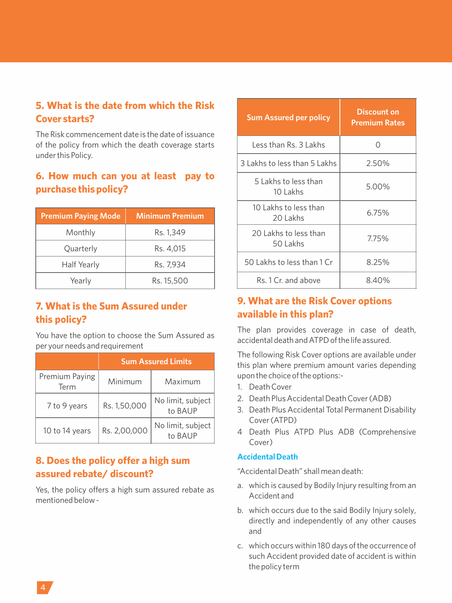## **5. What is the date from which the Risk Cover starts?**

The Risk commencement date is the date of issuance of the policy from which the death coverage starts under this Policy.

## **6. How much can you at least pay to purchase this policy?**

| <b>Premium Paying Mode</b> | <b>Minimum Premium</b> |
|----------------------------|------------------------|
| Monthly                    | Rs. 1,349              |
| Quarterly                  | Rs. 4,015              |
| Half Yearly                | Rs. 7.934              |
| Yearly                     | Rs. 15,500             |

## **7. What is the Sum Assured under this policy?**

You have the option to choose the Sum Assured as per your needs and requirement

|                        | <b>Sum Assured Limits</b> |                              |  |  |  |  |  |
|------------------------|---------------------------|------------------------------|--|--|--|--|--|
| Premium Paying<br>Term | Minimum                   | Maximum                      |  |  |  |  |  |
| 7 to 9 years           | Rs. 1,50,000              | No limit, subject<br>to BAUP |  |  |  |  |  |
| 10 to 14 years         | Rs. 2,00,000              | No limit, subject<br>to BAUP |  |  |  |  |  |

## **8. Does the policy offer a high sum assured rebate/ discount?**

Yes, the policy offers a high sum assured rebate as mentioned below -

| <b>Sum Assured per policy</b>     | Discount on<br><b>Premium Rates</b> |
|-----------------------------------|-------------------------------------|
| Less than Rs. 3 Lakhs             | ∩                                   |
| 3 Lakhs to less than 5 Lakhs      | 2.50%                               |
| 5 Lakhs to less than<br>10 Lakhs  | 5.00%                               |
| 10 Lakhs to less than<br>20 Lakhs | 6.75%                               |
| 20 Lakhs to less than<br>50 Lakhs | 7.75%                               |
| 50 Lakhs to less than 1 Cr        | 8.25%                               |
| Rs. 1 Cr. and above               | 8.40%                               |

## **9. What are the Risk Cover options available in this plan?**

The plan provides coverage in case of death, accidental death and ATPD of the life assured.

The following Risk Cover options are available under this plan where premium amount varies depending upon the choice of the options:-

- 1. Death Cover
- 2. Death Plus Accidental Death Cover (ADB)
- 3. Death Plus Accidental Total Permanent Disability Cover (ATPD)
- 4 Death Plus ATPD Plus ADB (Comprehensive Cover)

#### **Accidental Death**

"Accidental Death" shall mean death:

- a. which is caused by Bodily Injury resulting from an Accident and
- b. which occurs due to the said Bodily Injury solely, directly and independently of any other causes and
- c. which occurs within 180 days of the occurrence of such Accident provided date of accident is within the policy term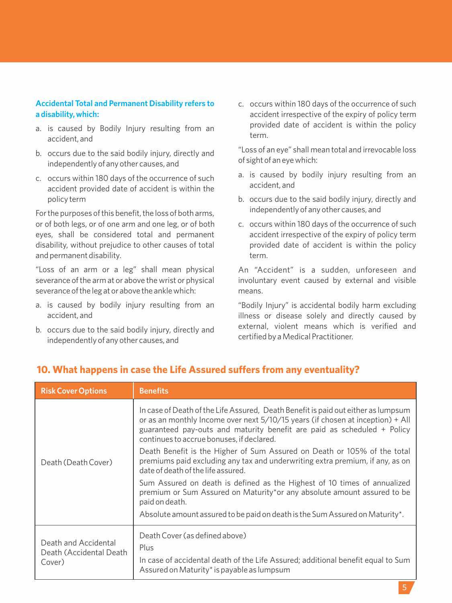#### **Accidental Total and Permanent Disability refers to a disability, which:**

- a. is caused by Bodily Injury resulting from an accident, and
- b. occurs due to the said bodily injury, directly and independently of any other causes, and
- c. occurs within 180 days of the occurrence of such accident provided date of accident is within the policy term

For the purposes of this benefit, the loss of both arms, or of both legs, or of one arm and one leg, or of both eyes, shall be considered total and permanent disability, without prejudice to other causes of total and permanent disability.

"Loss of an arm or a leg" shall mean physical severance of the arm at or above the wrist or physical severance of the leg at or above the ankle which:

- a. is caused by bodily injury resulting from an accident, and
- b. occurs due to the said bodily injury, directly and independently of any other causes, and

c. occurs within 180 days of the occurrence of such accident irrespective of the expiry of policy term provided date of accident is within the policy term.

"Loss of an eye" shall mean total and irrevocable loss of sight of an eye which:

- a. is caused by bodily injury resulting from an accident, and
- b. occurs due to the said bodily injury, directly and independently of any other causes, and
- c. occurs within 180 days of the occurrence of such accident irrespective of the expiry of policy term provided date of accident is within the policy term.

An "Accident" is a sudden, unforeseen and involuntary event caused by external and visible means.

"Bodily Injury" is accidental bodily harm excluding illness or disease solely and directly caused by external, violent means which is verified and certified by a Medical Practitioner.

| <b>Benefits</b>                                                                                                                                                                                                                                                                             |
|---------------------------------------------------------------------------------------------------------------------------------------------------------------------------------------------------------------------------------------------------------------------------------------------|
| In case of Death of the Life Assured, Death Benefit is paid out either as lumpsum<br>or as an monthly Income over next 5/10/15 years (if chosen at inception) + All<br>guaranteed pay-outs and maturity benefit are paid as scheduled + Policy<br>continues to accrue bonuses, if declared. |
| Death Benefit is the Higher of Sum Assured on Death or 105% of the total<br>premiums paid excluding any tax and underwriting extra premium, if any, as on<br>date of death of the life assured.                                                                                             |
| Sum Assured on death is defined as the Highest of 10 times of annualized<br>premium or Sum Assured on Maturity*or any absolute amount assured to be<br>paid on death.                                                                                                                       |
| Absolute amount assured to be paid on death is the Sum Assured on Maturity*.                                                                                                                                                                                                                |
| Death Cover (as defined above)<br>Plus<br>In case of accidental death of the Life Assured; additional benefit equal to Sum<br>Assured on Maturity* is payable as lumpsum                                                                                                                    |
|                                                                                                                                                                                                                                                                                             |

## **10. What happens in case the Life Assured suffers from any eventuality?**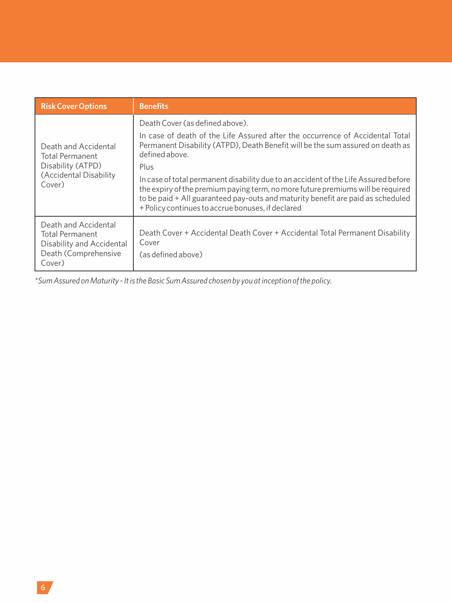| <b>Risk Cover Options</b>                                                                                     | <b>Benefits</b>                                                                                                                                                                                                                                                                                                                                                                                                                                                                                                                                |
|---------------------------------------------------------------------------------------------------------------|------------------------------------------------------------------------------------------------------------------------------------------------------------------------------------------------------------------------------------------------------------------------------------------------------------------------------------------------------------------------------------------------------------------------------------------------------------------------------------------------------------------------------------------------|
| Death and Accidental<br>Total Permanent<br>Disability (ATPD)<br>(Accidental Disability<br>Cover)              | Death Cover (as defined above).<br>In case of death of the Life Assured after the occurrence of Accidental Total<br>Permanent Disability (ATPD), Death Benefit will be the sum assured on death as<br>defined above.<br>Plus<br>In case of total permanent disability due to an accident of the Life Assured before<br>the expiry of the premium paying term, no more future premiums will be required<br>to be paid + All guaranteed pay-outs and maturity benefit are paid as scheduled<br>+ Policy continues to accrue bonuses, if declared |
| Death and Accidental<br><b>Total Permanent</b><br>Disability and Accidental<br>Death (Comprehensive<br>Cover) | Death Cover + Accidental Death Cover + Accidental Total Permanent Disability<br>Cover<br>(as defined above)                                                                                                                                                                                                                                                                                                                                                                                                                                    |

*\*Sum Assured on Maturity - It is the Basic Sum Assured chosen by you at inception of the policy.*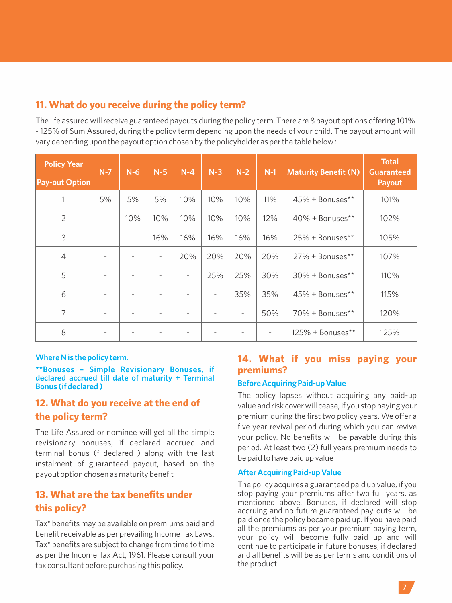## **11. What do you receive during the policy term?**

The life assured will receive guaranteed payouts during the policy term. There are 8 payout options offering 101% - 125% of Sum Assured, during the policy term depending upon the needs of your child. The payout amount will vary depending upon the payout option chosen by the policyholder as per the table below :-

| <b>Policy Year</b>    | $N-7$ | $N-6$ | $N-5$          | $N-4$ | $N-3$ | $N-2$ | $N-1$ | <b>Maturity Benefit (N)</b> | <b>Total</b><br><b>Guaranteed</b> |
|-----------------------|-------|-------|----------------|-------|-------|-------|-------|-----------------------------|-----------------------------------|
| <b>Pay-out Option</b> |       |       |                |       |       |       |       |                             | Payout                            |
| 1                     | 5%    | 5%    | 5%             | 10%   | 10%   | 10%   | 11%   | 45% + Bonuses**             | 101%                              |
| $\overline{2}$        |       | 10%   | 10%            | 10%   | 10%   | 10%   | 12%   | $40\%$ + Bonuses**          | 102%                              |
| 3                     |       | ٠     | 16%            | 16%   | 16%   | 16%   | 16%   | $25\%$ + Bonuses**          | 105%                              |
| $\overline{4}$        |       | ٠     | $\overline{a}$ | 20%   | 20%   | 20%   | 20%   | $27\%$ + Bonuses**          | 107%                              |
| 5                     |       | ٠     | ٠              | ٠     | 25%   | 25%   | 30%   | $30\%$ + Bonuses**          | 110%                              |
| 6                     |       | ۰     | ٠              |       | ۰     | 35%   | 35%   | $45\%$ + Bonuses**          | 115%                              |
| 7                     |       |       |                |       |       | ٠     | 50%   | 70% + Bonuses**             | 120%                              |
| 8                     |       |       |                |       |       |       | ۰     | $125\% + \text{Bonus}$ **   | 125%                              |

#### **Where N is the policy term.**

**\*\*Bonuses – Simple Revisionary Bonuses, if declared accrued till date of maturity + Terminal Bonus (if declared )**

## **12. What do you receive at the end of the policy term?**

The Life Assured or nominee will get all the simple revisionary bonuses, if declared accrued and terminal bonus (f declared ) along with the last instalment of guaranteed payout, based on the payout option chosen as maturity benefit

## **13. What are the tax benefits under this policy?**

Tax\* benefits may be available on premiums paid and benefit receivable as per prevailing Income Tax Laws. Tax\* benefits are subject to change from time to time as per the Income Tax Act, 1961. Please consult your tax consultant before purchasing this policy.

## **14. What if you miss paying your premiums?**

#### **Before Acquiring Paid-up Value**

The policy lapses without acquiring any paid-up value and risk cover will cease, if you stop paying your premium during the first two policy years. We offer a five year revival period during which you can revive your policy. No benefits will be payable during this period. At least two (2) full years premium needs to be paid to have paid up value

#### **After Acquiring Paid-up Value**

The policy acquires a guaranteed paid up value, if you stop paying your premiums after two full years, as mentioned above. Bonuses, if declared will stop accruing and no future guaranteed pay-outs will be paid once the policy became paid up. If you have paid all the premiums as per your premium paying term, your policy will become fully paid up and will continue to participate in future bonuses, if declared and all benefits will be as per terms and conditions of the product.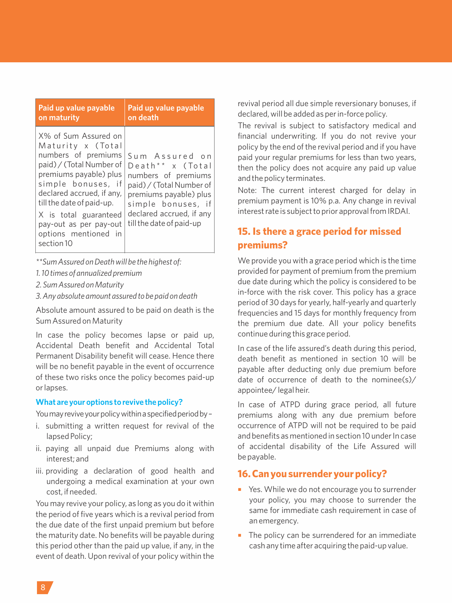| Paid up value payable                                                                                                                                                                                                                                                                           | Paid up value payable                                                                                                                                                                                     |
|-------------------------------------------------------------------------------------------------------------------------------------------------------------------------------------------------------------------------------------------------------------------------------------------------|-----------------------------------------------------------------------------------------------------------------------------------------------------------------------------------------------------------|
| on maturity                                                                                                                                                                                                                                                                                     | on death                                                                                                                                                                                                  |
| X% of Sum Assured on<br>Maturity x (Total<br>numbers of premiums<br>paid) / (Total Number of<br>premiums payable) plus<br>simple bonuses, if<br>declared accrued, if any,<br>till the date of paid-up.<br>X is total guaranteed<br>pay-out as per pay-out<br>options mentioned in<br>section 10 | Sum Assured on<br>Death <sup>**</sup> x (Total<br>numbers of premiums<br>paid) / (Total Number of<br>premiums payable) plus<br>simple bonuses, if<br>declared accrued, if any<br>till the date of paid-up |

*\*\*Sum Assured on Death will be the highest of:*

*1. 10 times of annualized premium*

*2. Sum Assured on Maturity* 

*3. Any absolute amount assured to be paid on death*

Absolute amount assured to be paid on death is the Sum Assured on Maturity

In case the policy becomes lapse or paid up, Accidental Death benefit and Accidental Total Permanent Disability benefit will cease. Hence there will be no benefit payable in the event of occurrence of these two risks once the policy becomes paid-up or lapses.

#### **What are your options to revive the policy?**

You may revive your policy within a specified period by -

- i. submitting a written request for revival of the lapsed Policy;
- ii. paying all unpaid due Premiums along with interest; and
- iii. providing a declaration of good health and undergoing a medical examination at your own cost, if needed.

You may revive your policy, as long as you do it within the period of five years which is a revival period from the due date of the first unpaid premium but before the maturity date. No benefits will be payable during this period other than the paid up value, if any, in the event of death. Upon revival of your policy within the

revival period all due simple reversionary bonuses, if declared, will be added as per in-force policy.

The revival is subject to satisfactory medical and financial underwriting. If you do not revive your policy by the end of the revival period and if you have paid your regular premiums for less than two years, then the policy does not acquire any paid up value and the policy terminates.

Note: The current interest charged for delay in premium payment is 10% p.a. Any change in revival interest rate is subject to prior approval from IRDAI.

## **15. Is there a grace period for missed premiums?**

We provide you with a grace period which is the time provided for payment of premium from the premium due date during which the policy is considered to be in-force with the risk cover. This policy has a grace period of 30 days for yearly, half-yearly and quarterly frequencies and 15 days for monthly frequency from the premium due date. All your policy benefits continue during this grace period.

In case of the life assured's death during this period, death benefit as mentioned in section 10 will be payable after deducting only due premium before date of occurrence of death to the nominee(s)/ appointee/ legal heir.

In case of ATPD during grace period, all future premiums along with any due premium before occurrence of ATPD will not be required to be paid and benefits as mentioned in section 10 under In case of accidental disability of the Life Assured will be payable.

#### **16. Can you surrender your policy?**

- Yes. While we do not encourage you to surrender your policy, you may choose to surrender the same for immediate cash requirement in case of an emergency.
- $\blacksquare$  The policy can be surrendered for an immediate cash any time after acquiring the paid-up value.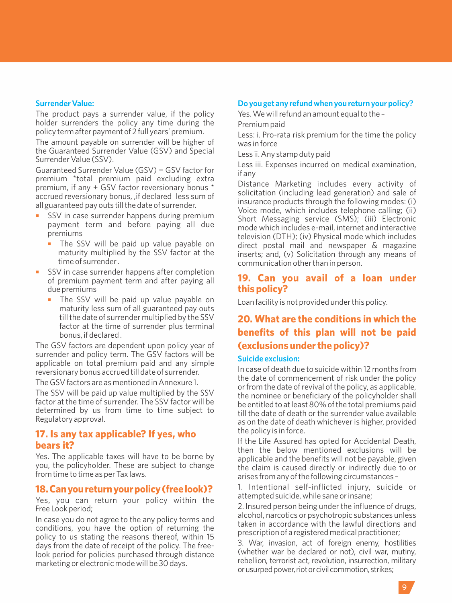#### **Surrender Value:**

The product pays a surrender value, if the policy holder surrenders the policy any time during the policy term after payment of 2 full years' premium.

The amount payable on surrender will be higher of the Guaranteed Surrender Value (GSV) and Special Surrender Value (SSV).

Guaranteed Surrender Value (GSV) = GSV factor for premium \*total premium paid excluding extra premium, if any + GSV factor reversionary bonus \* accrued reversionary bonus, ,if declared less sum of all guaranteed pay outs till the date of surrender.

- SSV in case surrender happens during premium payment term and before paying all due premiums
	- The SSV will be paid up value payable on maturity multiplied by the SSV factor at the time of surrender .
- SSV in case surrender happens after completion of premium payment term and after paying all due premiums
	- The SSV will be paid up value payable on maturity less sum of all guaranteed pay outs till the date of surrender multiplied by the SSV factor at the time of surrender plus terminal bonus, if declared .

The GSV factors are dependent upon policy year of surrender and policy term. The GSV factors will be applicable on total premium paid and any simple reversionary bonus accrued till date of surrender.

The GSV factors are as mentioned in Annexure 1.

The SSV will be paid up value multiplied by the SSV factor at the time of surrender. The SSV factor will be determined by us from time to time subject to Regulatory approval.

#### **17. Is any tax applicable? If yes, who bears it?**

Yes. The applicable taxes will have to be borne by you, the policyholder. These are subject to change from time to time as per Tax laws.

#### **18.Canyoureturnyourpolicy(freelook)?**

Yes, you can return your policy within the Free Look period;

In case you do not agree to the any policy terms and conditions, you have the option of returning the policy to us stating the reasons thereof, within 15 days from the date of receipt of the policy. The freelook period for policies purchased through distance marketing or electronic mode will be 30 days.

#### **Do you get any refund when you return your policy?**

Yes. We will refund an amount equal to the –

Premium paid

Less: i. Pro-rata risk premium for the time the policy was in force

Less ii. Any stamp duty paid

Less iii. Expenses incurred on medical examination, if any

Distance Marketing includes every activity of solicitation (including lead generation) and sale of insurance products through the following modes: (i) Voice mode, which includes telephone calling; (ii) Short Messaging service (SMS); (iii) Electronic mode which includes e-mail, internet and interactive television (DTH); (iv) Physical mode which includes direct postal mail and newspaper & magazine inserts; and, (v) Solicitation through any means of communication other than in person.

#### **19. Can you avail of a loan under this policy?**

Loan facility is not provided under this policy.

## **20. What are the conditions in which the benefits of this plan will not be paid (exclusions under the policy)?**

#### **Suicide exclusion:**

In case of death due to suicide within 12 months from the date of commencement of risk under the policy or from the date of revival of the policy, as applicable, the nominee or beneficiary of the policyholder shall be entitled to at least 80% of the total premiums paid till the date of death or the surrender value available as on the date of death whichever is higher, provided the policy is in force.

If the Life Assured has opted for Accidental Death, then the below mentioned exclusions will be applicable and the benefits will not be payable, given the claim is caused directly or indirectly due to or arises from any of the following circumstances –

1. Intentional self-inflicted injury, suicide or attempted suicide, while sane or insane;

2. Insured person being under the influence of drugs, alcohol, narcotics or psychotropic substances unless taken in accordance with the lawful directions and prescription of a registered medical practitioner;

3. War, invasion, act of foreign enemy, hostilities (whether war be declared or not), civil war, mutiny, rebellion, terrorist act, revolution, insurrection, military or usurped power, riot or civil commotion, strikes;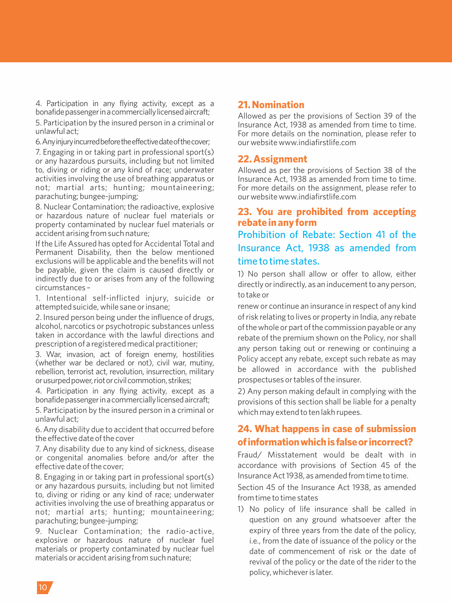4. Participation in any flying activity, except as a bonafide passenger in a commercially licensed aircraft;

5. Participation by the insured person in a criminal or unlawful act;

6.Anyinjuryincurredbeforetheeffectivedateofthecover;

7. Engaging in or taking part in professional sport(s) or any hazardous pursuits, including but not limited to, diving or riding or any kind of race; underwater activities involving the use of breathing apparatus or not; martial arts; hunting; mountaineering; parachuting; bungee-jumping;

8. Nuclear Contamination; the radioactive, explosive or hazardous nature of nuclear fuel materials or property contaminated by nuclear fuel materials or accident arising from such nature;

If the Life Assured has opted for Accidental Total and Permanent Disability, then the below mentioned exclusions will be applicable and the benefits will not be payable, given the claim is caused directly or indirectly due to or arises from any of the following circumstances –

1. Intentional self-inflicted injury, suicide or attempted suicide, while sane or insane;

2. Insured person being under the influence of drugs, alcohol, narcotics or psychotropic substances unless taken in accordance with the lawful directions and prescription of a registered medical practitioner;

3. War, invasion, act of foreign enemy, hostilities (whether war be declared or not), civil war, mutiny, rebellion, terrorist act, revolution, insurrection, military or usurped power, riot or civil commotion, strikes:

4. Participation in any flying activity, except as a bonafidepassengerinacommerciallylicensedaircraft;

5. Participation by the insured person in a criminal or unlawful act;

6. Any disability due to accident that occurred before the effective date of the cover

7. Any disability due to any kind of sickness, disease or congenital anomalies before and/or after the effective date of the cover;

8. Engaging in or taking part in professional sport(s) or any hazardous pursuits, including but not limited to, diving or riding or any kind of race; underwater activities involving the use of breathing apparatus or not; martial arts; hunting; mountaineering; parachuting; bungee-jumping;

9. Nuclear Contamination; the radio-active, explosive or hazardous nature of nuclear fuel materials or property contaminated by nuclear fuel materials or accident arising from such nature;

## **21. Nomination**

Allowed as per the provisions of Section 39 of the Insurance Act, 1938 as amended from time to time. For more details on the nomination, please refer to our website www.indiafirstlife.com

#### **22. Assignment**

Allowed as per the provisions of Section 38 of the Insurance Act, 1938 as amended from time to time. For more details on the assignment, please refer to our website www.indiafirstlife.com

## **23. You are prohibited from accepting rebate in any form** Prohibition of Rebate: Section 41 of the

Insurance Act, 1938 as amended from time to time states.

1) No person shall allow or offer to allow, either directly or indirectly, as an inducement to any person, to take or

renew or continue an insurance in respect of any kind of risk relating to lives or property in India, any rebate of the whole or part of the commission payable or any rebate of the premium shown on the Policy, nor shall any person taking out or renewing or continuing a Policy accept any rebate, except such rebate as may be allowed in accordance with the published prospectuses or tables of the insurer.

2) Any person making default in complying with the provisions of this section shall be liable for a penalty which may extend to ten lakh rupees.

## **24. What happens in case of submission ofinformationwhichisfalseorincorrect?**

Fraud/ Misstatement would be dealt with in accordance with provisions of Section 45 of the Insurance Act 1938, as amended from time to time.

Section 45 of the Insurance Act 1938, as amended from time to time states

1) No policy of life insurance shall be called in question on any ground whatsoever after the expiry of three years from the date of the policy, i.e., from the date of issuance of the policy or the date of commencement of risk or the date of revival of the policy or the date of the rider to the policy, whichever is later.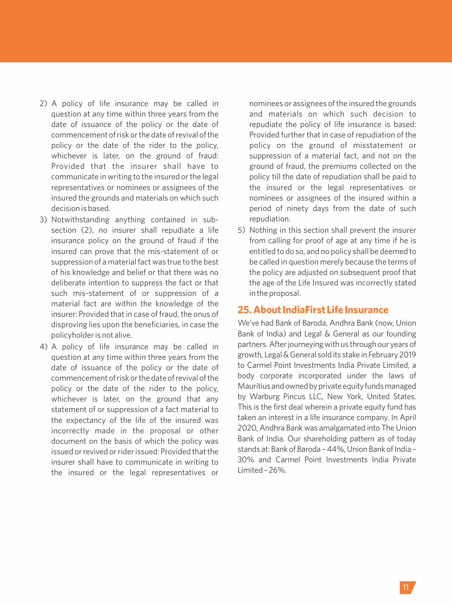- 2) A policy of life insurance may be called in question at any time within three years from the date of issuance of the policy or the date of commencement of risk or the date of revival of the policy or the date of the rider to the policy, whichever is later, on the ground of fraud: Provided that the insurer shall have to communicate in writing to the insured or the legal representatives or nominees or assignees of the insured the grounds and materials on which such decision is based.
- 3) Notwithstanding anything contained in subsection (2), no insurer shall repudiate a life insurance policy on the ground of fraud if the insured can prove that the mis-statement of or suppression of a material fact was true to the best of his knowledge and belief or that there was no deliberate intention to suppress the fact or that such mis-statement of or suppression of a material fact are within the knowledge of the insurer: Provided that in case of fraud, the onus of disproving lies upon the beneficiaries, in case the policyholder is not alive.
- 4) A policy of life insurance may be called in question at any time within three years from the date of issuance of the policy or the date of commencement of risk or the date of revival of the policy or the date of the rider to the policy, whichever is later, on the ground that any statement of or suppression of a fact material to the expectancy of the life of the insured was incorrectly made in the proposal or other document on the basis of which the policy was issued or revived or rider issued: Provided that the insurer shall have to communicate in writing to the insured or the legal representatives or

nominees or assignees of the insured the grounds and materials on which such decision to repudiate the policy of life insurance is based: Provided further that in case of repudiation of the policy on the ground of misstatement or suppression of a material fact, and not on the ground of fraud, the premiums collected on the policy till the date of repudiation shall be paid to the insured or the legal representatives or nominees or assignees of the insured within a period of ninety days from the date of such repudiation.

5) Nothing in this section shall prevent the insurer from calling for proof of age at any time if he is entitled to do so, and no policy shall be deemed to be called in question merely because the terms of the policy are adjusted on subsequent proof that the age of the Life Insured was incorrectly stated in the proposal.

#### **25. About IndiaFirst Life Insurance**

We've had Bank of Baroda, Andhra Bank (now, Union Bank of India) and Legal & General as our founding partners. After journeying with us through our years of growth, Legal&General soldits stake inFebruary2019 to Carmel Point Investments India Private Limited, a body corporate incorporated under the laws of Mauritius and owned by private equity funds managed by Warburg Pincus LLC, New York, United States. This is the first deal wherein a private equity fund has taken an interest in a life insurance company. In April 2020, Andhra Bank was amalgamated into The Union Bank of India. Our shareholding pattern as of today stands at: Bank of Baroda - 44%, Union Bank of India -30% and Carmel Point Investments India Private Limited–26%.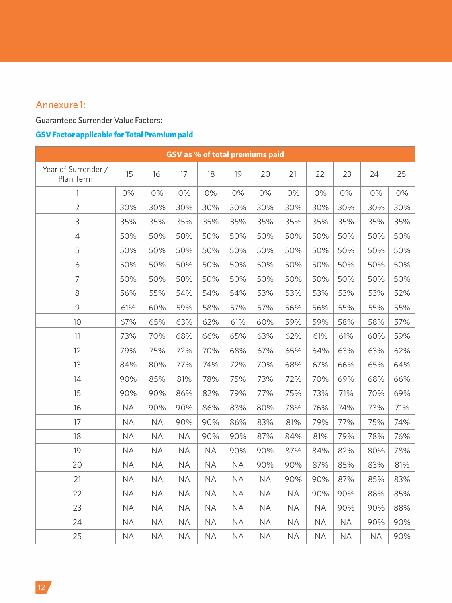## Annexure 1:

## Guaranteed Surrender Value Factors:

## **GSV Factor applicable for Total Premium paid**

| GSV as % of total premiums paid  |           |           |           |           |           |           |           |           |           |           |     |
|----------------------------------|-----------|-----------|-----------|-----------|-----------|-----------|-----------|-----------|-----------|-----------|-----|
| Year of Surrender /<br>Plan Term | 15        | 16        | 17        | 18        | 19        | 20        | 21        | 22        | 23        | 24        | 25  |
| 1                                | 0%        | 0%        | 0%        | 0%        | 0%        | 0%        | 0%        | 0%        | 0%        | 0%        | 0%  |
| $\overline{2}$                   | 30%       | 30%       | 30%       | 30%       | 30%       | 30%       | 30%       | 30%       | 30%       | 30%       | 30% |
| 3                                | 35%       | 35%       | 35%       | 35%       | 35%       | 35%       | 35%       | 35%       | 35%       | 35%       | 35% |
| 4                                | 50%       | 50%       | 50%       | 50%       | 50%       | 50%       | 50%       | 50%       | 50%       | 50%       | 50% |
| 5                                | 50%       | 50%       | 50%       | 50%       | 50%       | 50%       | 50%       | 50%       | 50%       | 50%       | 50% |
| 6                                | 50%       | 50%       | 50%       | 50%       | 50%       | 50%       | 50%       | 50%       | 50%       | 50%       | 50% |
| 7                                | 50%       | 50%       | 50%       | 50%       | 50%       | 50%       | 50%       | 50%       | 50%       | 50%       | 50% |
| 8                                | 56%       | 55%       | 54%       | 54%       | 54%       | 53%       | 53%       | 53%       | 53%       | 53%       | 52% |
| 9                                | 61%       | 60%       | 59%       | 58%       | 57%       | 57%       | 56%       | 56%       | 55%       | 55%       | 55% |
| 10                               | 67%       | 65%       | 63%       | 62%       | 61%       | 60%       | 59%       | 59%       | 58%       | 58%       | 57% |
| 11                               | 73%       | 70%       | 68%       | 66%       | 65%       | 63%       | 62%       | 61%       | 61%       | 60%       | 59% |
| 12                               | 79%       | 75%       | 72%       | 70%       | 68%       | 67%       | 65%       | 64%       | 63%       | 63%       | 62% |
| 13                               | 84%       | 80%       | 77%       | 74%       | 72%       | 70%       | 68%       | 67%       | 66%       | 65%       | 64% |
| 14                               | 90%       | 85%       | 81%       | 78%       | 75%       | 73%       | 72%       | 70%       | 69%       | 68%       | 66% |
| 15                               | 90%       | 90%       | 86%       | 82%       | 79%       | 77%       | 75%       | 73%       | 71%       | 70%       | 69% |
| 16                               | <b>NA</b> | 90%       | 90%       | 86%       | 83%       | 80%       | 78%       | 76%       | 74%       | 73%       | 71% |
| 17                               | <b>NA</b> | <b>NA</b> | 90%       | 90%       | 86%       | 83%       | 81%       | 79%       | 77%       | 75%       | 74% |
| 18                               | <b>NA</b> | <b>NA</b> | <b>NA</b> | 90%       | 90%       | 87%       | 84%       | 81%       | 79%       | 78%       | 76% |
| 19                               | <b>NA</b> | <b>NA</b> | <b>NA</b> | <b>NA</b> | 90%       | 90%       | 87%       | 84%       | 82%       | 80%       | 78% |
| 20                               | <b>NA</b> | <b>NA</b> | <b>NA</b> | <b>NA</b> | <b>NA</b> | 90%       | 90%       | 87%       | 85%       | 83%       | 81% |
| 21                               | <b>NA</b> | <b>NA</b> | <b>NA</b> | <b>NA</b> | <b>NA</b> | <b>NA</b> | 90%       | 90%       | 87%       | 85%       | 83% |
| 22                               | <b>NA</b> | <b>NA</b> | <b>NA</b> | <b>NA</b> | <b>NA</b> | <b>NA</b> | <b>NA</b> | 90%       | 90%       | 88%       | 85% |
| 23                               | <b>NA</b> | <b>NA</b> | <b>NA</b> | <b>NA</b> | <b>NA</b> | <b>NA</b> | <b>NA</b> | <b>NA</b> | 90%       | 90%       | 88% |
| 24                               | <b>NA</b> | <b>NA</b> | <b>NA</b> | <b>NA</b> | <b>NA</b> | <b>NA</b> | <b>NA</b> | <b>NA</b> | <b>NA</b> | 90%       | 90% |
| 25                               | <b>NA</b> | <b>NA</b> | <b>NA</b> | <b>NA</b> | <b>NA</b> | <b>NA</b> | <b>NA</b> | <b>NA</b> | <b>NA</b> | <b>NA</b> | 90% |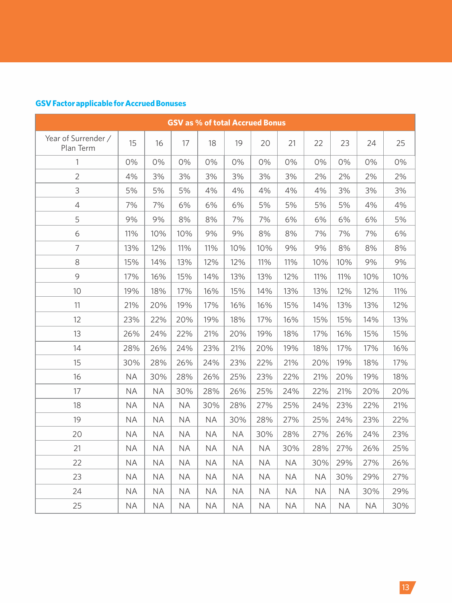## **GSV Factor applicable for Accrued Bonuses**

| <b>GSV as % of total Accrued Bonus</b> |           |           |           |           |           |           |           |           |           |           |     |
|----------------------------------------|-----------|-----------|-----------|-----------|-----------|-----------|-----------|-----------|-----------|-----------|-----|
| Year of Surrender /<br>Plan Term       | 15        | 16        | 17        | 18        | 19        | 20        | 21        | 22        | 23        | 24        | 25  |
| $\mathbf{1}$                           | 0%        | 0%        | 0%        | 0%        | 0%        | 0%        | 0%        | 0%        | 0%        | 0%        | 0%  |
| $\overline{2}$                         | 4%        | 3%        | 3%        | 3%        | 3%        | 3%        | 3%        | 2%        | 2%        | 2%        | 2%  |
| 3                                      | 5%        | 5%        | 5%        | 4%        | 4%        | 4%        | 4%        | 4%        | 3%        | 3%        | 3%  |
| 4                                      | 7%        | 7%        | 6%        | 6%        | 6%        | 5%        | 5%        | 5%        | 5%        | 4%        | 4%  |
| 5                                      | 9%        | 9%        | 8%        | 8%        | 7%        | 7%        | 6%        | 6%        | 6%        | 6%        | 5%  |
| 6                                      | 11%       | 10%       | 10%       | 9%        | 9%        | 8%        | 8%        | 7%        | 7%        | 7%        | 6%  |
| $\overline{7}$                         | 13%       | 12%       | 11%       | 11%       | 10%       | 10%       | 9%        | 9%        | 8%        | 8%        | 8%  |
| 8                                      | 15%       | 14%       | 13%       | 12%       | 12%       | 11%       | 11%       | 10%       | 10%       | 9%        | 9%  |
| 9                                      | 17%       | 16%       | 15%       | 14%       | 13%       | 13%       | 12%       | 11%       | 11%       | 10%       | 10% |
| 10                                     | 19%       | 18%       | 17%       | 16%       | 15%       | 14%       | 13%       | 13%       | 12%       | 12%       | 11% |
| 11                                     | 21%       | 20%       | 19%       | 17%       | 16%       | 16%       | 15%       | 14%       | 13%       | 13%       | 12% |
| 12                                     | 23%       | 22%       | 20%       | 19%       | 18%       | 17%       | 16%       | 15%       | 15%       | 14%       | 13% |
| 13                                     | 26%       | 24%       | 22%       | 21%       | 20%       | 19%       | 18%       | 17%       | 16%       | 15%       | 15% |
| 14                                     | 28%       | 26%       | 24%       | 23%       | 21%       | 20%       | 19%       | 18%       | 17%       | 17%       | 16% |
| 15                                     | 30%       | 28%       | 26%       | 24%       | 23%       | 22%       | 21%       | 20%       | 19%       | 18%       | 17% |
| 16                                     | <b>NA</b> | 30%       | 28%       | 26%       | 25%       | 23%       | 22%       | 21%       | 20%       | 19%       | 18% |
| 17                                     | <b>NA</b> | <b>NA</b> | 30%       | 28%       | 26%       | 25%       | 24%       | 22%       | 21%       | 20%       | 20% |
| 18                                     | <b>NA</b> | <b>NA</b> | <b>NA</b> | 30%       | 28%       | 27%       | 25%       | 24%       | 23%       | 22%       | 21% |
| 19                                     | <b>NA</b> | <b>NA</b> | <b>NA</b> | <b>NA</b> | 30%       | 28%       | 27%       | 25%       | 24%       | 23%       | 22% |
| 20                                     | <b>NA</b> | <b>NA</b> | <b>NA</b> | <b>NA</b> | <b>NA</b> | 30%       | 28%       | 27%       | 26%       | 24%       | 23% |
| 21                                     | <b>NA</b> | <b>NA</b> | <b>NA</b> | <b>NA</b> | <b>NA</b> | <b>NA</b> | 30%       | 28%       | 27%       | 26%       | 25% |
| 22                                     | <b>NA</b> | <b>NA</b> | <b>NA</b> | <b>NA</b> | <b>NA</b> | <b>NA</b> | <b>NA</b> | 30%       | 29%       | 27%       | 26% |
| 23                                     | <b>NA</b> | <b>NA</b> | <b>NA</b> | <b>NA</b> | <b>NA</b> | <b>NA</b> | <b>NA</b> | <b>NA</b> | 30%       | 29%       | 27% |
| 24                                     | <b>NA</b> | <b>NA</b> | <b>NA</b> | <b>NA</b> | <b>NA</b> | <b>NA</b> | <b>NA</b> | <b>NA</b> | <b>NA</b> | 30%       | 29% |
| 25                                     | <b>NA</b> | <b>NA</b> | <b>NA</b> | <b>NA</b> | <b>NA</b> | <b>NA</b> | <b>NA</b> | <b>NA</b> | <b>NA</b> | <b>NA</b> | 30% |